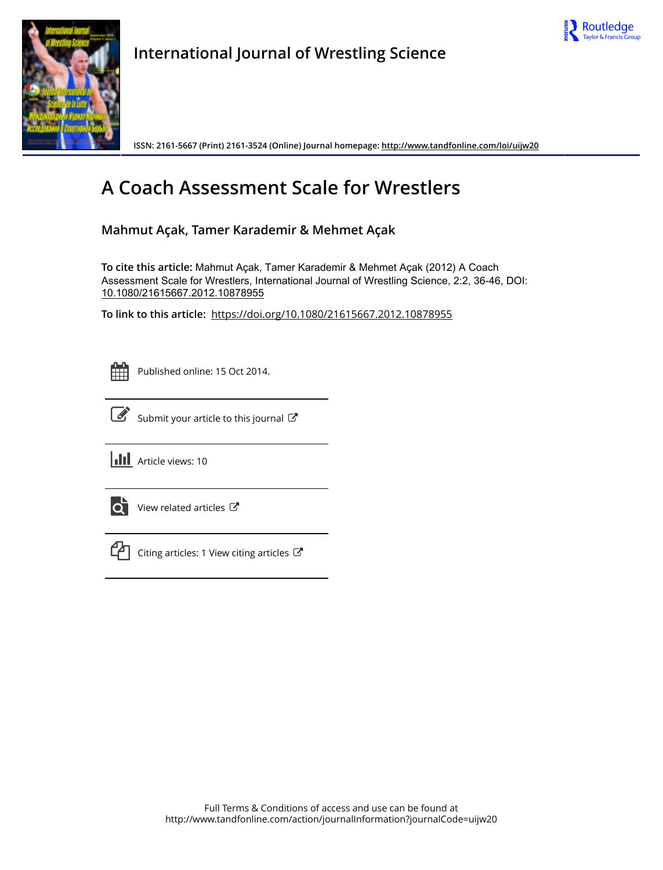



**International Journal of Wrestling Science**

**ISSN: 2161-5667 (Print) 2161-3524 (Online) Journal homepage:<http://www.tandfonline.com/loi/uijw20>**

# **A Coach Assessment Scale for Wrestlers**

**Mahmut Açak, Tamer Karademir & Mehmet Açak**

**To cite this article:** Mahmut Açak, Tamer Karademir & Mehmet Açak (2012) A Coach Assessment Scale for Wrestlers, International Journal of Wrestling Science, 2:2, 36-46, DOI: [10.1080/21615667.2012.10878955](http://www.tandfonline.com/action/showCitFormats?doi=10.1080/21615667.2012.10878955)

**To link to this article:** <https://doi.org/10.1080/21615667.2012.10878955>



Published online: 15 Oct 2014.



 $\overrightarrow{S}$  [Submit your article to this journal](http://www.tandfonline.com/action/authorSubmission?journalCode=uijw20&show=instructions)  $\overrightarrow{S}$ 

**III** Article views: 10



 $\overrightarrow{Q}$  [View related articles](http://www.tandfonline.com/doi/mlt/10.1080/21615667.2012.10878955)  $\overrightarrow{C}$ 



 $\mathbb{C}$  [Citing articles: 1 View citing articles](http://www.tandfonline.com/doi/citedby/10.1080/21615667.2012.10878955#tabModule)  $\mathbb{C}^{\bullet}$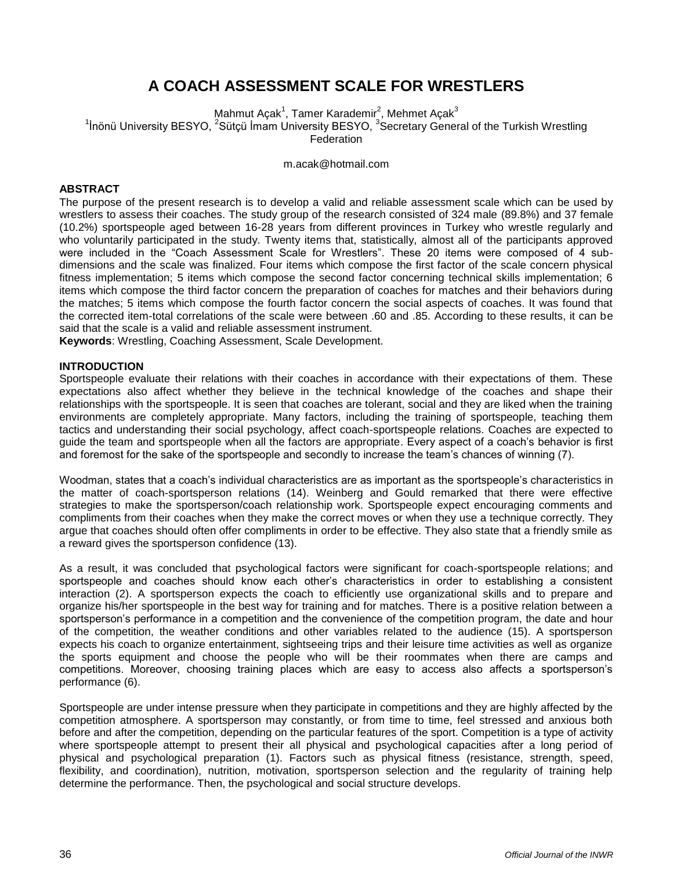# **A COACH ASSESSMENT SCALE FOR WRESTLERS**

Mahmut Açak<sup>1</sup>, Tamer Karademir<sup>2</sup>, Mehmet Açak<sup>3</sup> <sup>1</sup> Inönü University BESYO, <sup>2</sup>Sütçü İmam University BESYO, <sup>3</sup> Secretary General of the Turkish Wrestling Federation

[m.acak@hotmail.com](mailto:m.acak@hotmail.com)

# **ABSTRACT**

The purpose of the present research is to develop a valid and reliable assessment scale which can be used by wrestlers to assess their coaches. The study group of the research consisted of 324 male (89.8%) and 37 female (10.2%) sportspeople aged between 16-28 years from different provinces in Turkey who wrestle regularly and who voluntarily participated in the study. Twenty items that, statistically, almost all of the participants approved were included in the "Coach Assessment Scale for Wrestlers". These 20 items were composed of 4 subdimensions and the scale was finalized. Four items which compose the first factor of the scale concern physical fitness implementation; 5 items which compose the second factor concerning technical skills implementation; 6 items which compose the third factor concern the preparation of coaches for matches and their behaviors during the matches; 5 items which compose the fourth factor concern the social aspects of coaches. It was found that the corrected item-total correlations of the scale were between .60 and .85. According to these results, it can be said that the scale is a valid and reliable assessment instrument.

**Keywords**: Wrestling, Coaching Assessment, Scale Development.

# **INTRODUCTION**

Sportspeople evaluate their relations with their coaches in accordance with their expectations of them. These expectations also affect whether they believe in the technical knowledge of the coaches and shape their relationships with the sportspeople. It is seen that coaches are tolerant, social and they are liked when the training environments are completely appropriate. Many factors, including the training of sportspeople, teaching them tactics and understanding their social psychology, affect coach-sportspeople relations. Coaches are expected to guide the team and sportspeople when all the factors are appropriate. Every aspect of a coach's behavior is first and foremost for the sake of the sportspeople and secondly to increase the team's chances of winning (7).

Woodman, states that a coach's individual characteristics are as important as the sportspeople's characteristics in the matter of coach-sportsperson relations (14). Weinberg and Gould remarked that there were effective strategies to make the sportsperson/coach relationship work. Sportspeople expect encouraging comments and compliments from their coaches when they make the correct moves or when they use a technique correctly. They argue that coaches should often offer compliments in order to be effective. They also state that a friendly smile as a reward gives the sportsperson confidence (13).

As a result, it was concluded that psychological factors were significant for coach-sportspeople relations; and sportspeople and coaches should know each other's characteristics in order to establishing a consistent interaction (2). A sportsperson expects the coach to efficiently use organizational skills and to prepare and organize his/her sportspeople in the best way for training and for matches. There is a positive relation between a sportsperson's performance in a competition and the convenience of the competition program, the date and hour of the competition, the weather conditions and other variables related to the audience (15). A sportsperson expects his coach to organize entertainment, sightseeing trips and their leisure time activities as well as organize the sports equipment and choose the people who will be their roommates when there are camps and competitions. Moreover, choosing training places which are easy to access also affects a sportsperson's performance (6).

Sportspeople are under intense pressure when they participate in competitions and they are highly affected by the competition atmosphere. A sportsperson may constantly, or from time to time, feel stressed and anxious both before and after the competition, depending on the particular features of the sport. Competition is a type of activity where sportspeople attempt to present their all physical and psychological capacities after a long period of physical and psychological preparation (1). Factors such as physical fitness (resistance, strength, speed, flexibility, and coordination), nutrition, motivation, sportsperson selection and the regularity of training help determine the performance. Then, the psychological and social structure develops.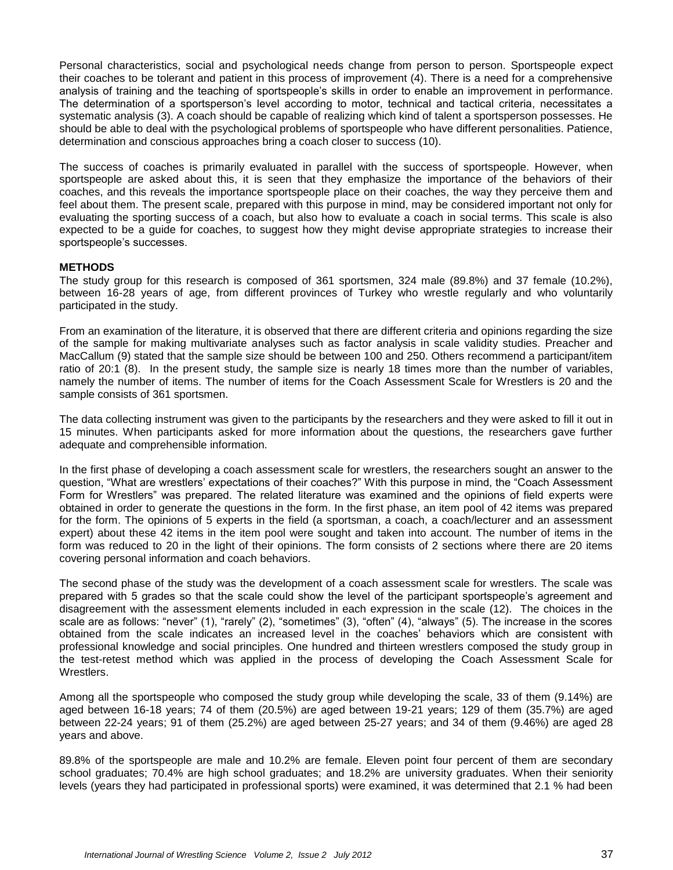Personal characteristics, social and psychological needs change from person to person. Sportspeople expect their coaches to be tolerant and patient in this process of improvement (4). There is a need for a comprehensive analysis of training and the teaching of sportspeople's skills in order to enable an improvement in performance. The determination of a sportsperson's level according to motor, technical and tactical criteria, necessitates a systematic analysis (3). A coach should be capable of realizing which kind of talent a sportsperson possesses. He should be able to deal with the psychological problems of sportspeople who have different personalities. Patience, determination and conscious approaches bring a coach closer to success (10).

The success of coaches is primarily evaluated in parallel with the success of sportspeople. However, when sportspeople are asked about this, it is seen that they emphasize the importance of the behaviors of their coaches, and this reveals the importance sportspeople place on their coaches, the way they perceive them and feel about them. The present scale, prepared with this purpose in mind, may be considered important not only for evaluating the sporting success of a coach, but also how to evaluate a coach in social terms. This scale is also expected to be a guide for coaches, to suggest how they might devise appropriate strategies to increase their sportspeople's successes.

# **METHODS**

The study group for this research is composed of 361 sportsmen, 324 male (89.8%) and 37 female (10.2%), between 16-28 years of age, from different provinces of Turkey who wrestle regularly and who voluntarily participated in the study.

From an examination of the literature, it is observed that there are different criteria and opinions regarding the size of the sample for making multivariate analyses such as factor analysis in scale validity studies. Preacher and MacCallum (9) stated that the sample size should be between 100 and 250. Others recommend a participant/item ratio of 20:1 (8). In the present study, the sample size is nearly 18 times more than the number of variables, namely the number of items. The number of items for the Coach Assessment Scale for Wrestlers is 20 and the sample consists of 361 sportsmen.

The data collecting instrument was given to the participants by the researchers and they were asked to fill it out in 15 minutes. When participants asked for more information about the questions, the researchers gave further adequate and comprehensible information.

In the first phase of developing a coach assessment scale for wrestlers, the researchers sought an answer to the question, "What are wrestlers' expectations of their coaches?" With this purpose in mind, the "Coach Assessment Form for Wrestlers" was prepared. The related literature was examined and the opinions of field experts were obtained in order to generate the questions in the form. In the first phase, an item pool of 42 items was prepared for the form. The opinions of 5 experts in the field (a sportsman, a coach, a coach/lecturer and an assessment expert) about these 42 items in the item pool were sought and taken into account. The number of items in the form was reduced to 20 in the light of their opinions. The form consists of 2 sections where there are 20 items covering personal information and coach behaviors.

The second phase of the study was the development of a coach assessment scale for wrestlers. The scale was prepared with 5 grades so that the scale could show the level of the participant sportspeople's agreement and disagreement with the assessment elements included in each expression in the scale (12). The choices in the scale are as follows: "never" (1), "rarely" (2), "sometimes" (3), "often" (4), "always" (5). The increase in the scores obtained from the scale indicates an increased level in the coaches' behaviors which are consistent with professional knowledge and social principles. One hundred and thirteen wrestlers composed the study group in the test-retest method which was applied in the process of developing the Coach Assessment Scale for Wrestlers.

Among all the sportspeople who composed the study group while developing the scale, 33 of them (9.14%) are aged between 16-18 years; 74 of them (20.5%) are aged between 19-21 years; 129 of them (35.7%) are aged between 22-24 years; 91 of them (25.2%) are aged between 25-27 years; and 34 of them (9.46%) are aged 28 years and above.

89.8% of the sportspeople are male and 10.2% are female. Eleven point four percent of them are secondary school graduates; 70.4% are high school graduates; and 18.2% are university graduates. When their seniority levels (years they had participated in professional sports) were examined, it was determined that 2.1 % had been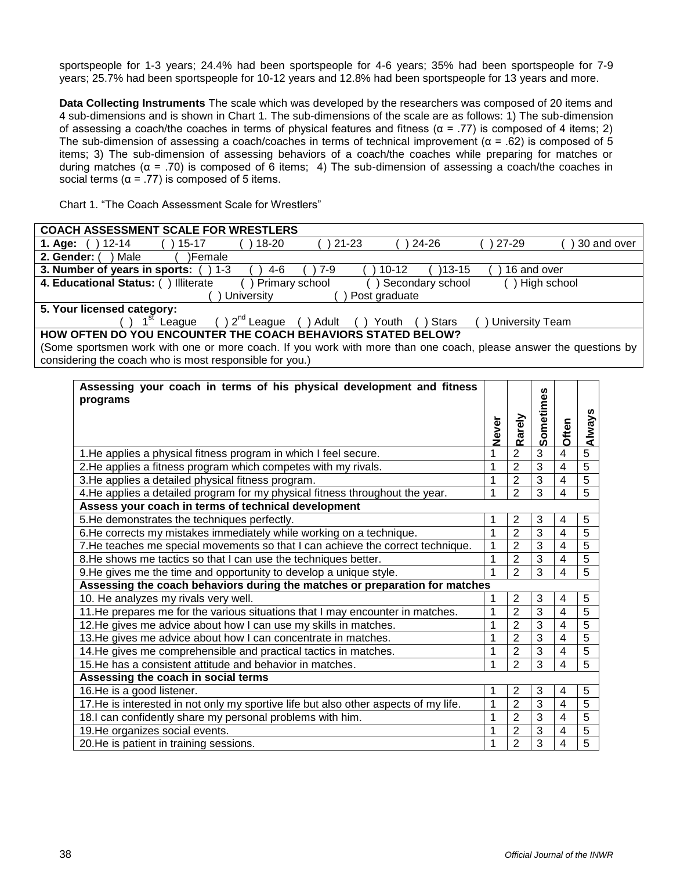sportspeople for 1-3 years; 24.4% had been sportspeople for 4-6 years; 35% had been sportspeople for 7-9 years; 25.7% had been sportspeople for 10-12 years and 12.8% had been sportspeople for 13 years and more.

**Data Collecting Instruments** The scale which was developed by the researchers was composed of 20 items and 4 sub-dimensions and is shown in Chart 1. The sub-dimensions of the scale are as follows: 1) The sub-dimension of assessing a coach/the coaches in terms of physical features and fitness ( $\alpha$  = .77) is composed of 4 items; 2) The sub-dimension of assessing a coach/coaches in terms of technical improvement ( $\alpha$  = .62) is composed of 5 items; 3) The sub-dimension of assessing behaviors of a coach/the coaches while preparing for matches or during matches (α = .70) is composed of 6 items; 4) The sub-dimension of assessing a coach/the coaches in social terms ( $\alpha$  = .77) is composed of 5 items.

Chart 1. "The Coach Assessment Scale for Wrestlers"

# **COACH ASSESSMENT SCALE FOR WRESTLERS**

| <u>UUAUII AUULUUMENI UUALLI UN MNLUILLINU</u>                                                   |  |  |  |  |  |  |  |  |
|-------------------------------------------------------------------------------------------------|--|--|--|--|--|--|--|--|
| 24-26<br>30 and over<br>$21 - 23$<br>27-29<br>18-20<br>$12 - 14$<br>$15 - 17$<br>1. Age:        |  |  |  |  |  |  |  |  |
| 2. Gender:<br>Male<br>)Female                                                                   |  |  |  |  |  |  |  |  |
| 3. Number of years in sports:<br>$10-12$<br>)13-15<br>16 and over<br>7-9<br>$1 - 3$<br>4-6      |  |  |  |  |  |  |  |  |
| 4. Educational Status: (<br>High school<br>) Illiterate<br>Secondary school<br>) Primary school |  |  |  |  |  |  |  |  |
| Post graduate<br>University                                                                     |  |  |  |  |  |  |  |  |
| 5. Your licensed category:                                                                      |  |  |  |  |  |  |  |  |
| $2^{nd}$ League<br>Adult<br>University Team<br><b>Stars</b><br>Youth<br>League                  |  |  |  |  |  |  |  |  |
| <b>UOW OFTEN DO VOU ENCOUNTED THE COACH BEHAVIORS STATED BELOWS</b>                             |  |  |  |  |  |  |  |  |

**HOW OFTEN DO YOU ENCOUNTER THE COACH BEHAVIORS STATED BELOW?** (Some sportsmen work with one or more coach. If you work with more than one coach, please answer the questions by considering the coach who is most responsible for you.)

| Assessing your coach in terms of his physical development and fitness<br>programs    | <b>Never</b> | Rarely         | Sometimes      | Often                    | Always         |
|--------------------------------------------------------------------------------------|--------------|----------------|----------------|--------------------------|----------------|
| 1. He applies a physical fitness program in which I feel secure.                     | 1            | $\overline{2}$ | $\overline{3}$ | $\overline{4}$           | 5              |
| 2. He applies a fitness program which competes with my rivals.                       | 1            | $\overline{2}$ | $\overline{3}$ | $\overline{4}$           | $\overline{5}$ |
| 3. He applies a detailed physical fitness program.                                   | 1            | $\overline{2}$ | 3              | 4                        | 5              |
| 4. He applies a detailed program for my physical fitness throughout the year.        | 1            | $\overline{2}$ | $\overline{3}$ | 4                        | 5              |
| Assess your coach in terms of technical development                                  |              |                |                |                          |                |
| 5. He demonstrates the techniques perfectly.                                         | 1            | $\overline{2}$ | 3              | 4                        | 5              |
| 6. He corrects my mistakes immediately while working on a technique.                 |              | $\overline{2}$ | 3              | 4                        | 5              |
| 7. He teaches me special movements so that I can achieve the correct technique.      | 1            | $\overline{2}$ | $\overline{3}$ | $\overline{\mathcal{A}}$ | 5              |
| 8.He shows me tactics so that I can use the techniques better.                       | 1            | $\overline{2}$ | 3              | 4                        | 5              |
| 9. He gives me the time and opportunity to develop a unique style.                   |              | $\overline{2}$ | 3              | $\overline{4}$           | 5              |
| Assessing the coach behaviors during the matches or preparation for matches          |              |                |                |                          |                |
| 10. He analyzes my rivals very well.                                                 | 1            | $\overline{2}$ | 3              | $\overline{4}$           | 5              |
| 11. He prepares me for the various situations that I may encounter in matches.       |              | $\overline{2}$ | 3              | 4                        | 5              |
| 12. He gives me advice about how I can use my skills in matches.                     | 1            | $\overline{2}$ | 3              | 4                        | 5              |
| 13. He gives me advice about how I can concentrate in matches.                       | 1            | $\overline{2}$ | 3              | $\overline{4}$           | 5              |
| 14. He gives me comprehensible and practical tactics in matches.                     | 1            | $\overline{2}$ | 3              | $\overline{\mathbf{4}}$  | 5              |
| 15. He has a consistent attitude and behavior in matches.                            | 1            | $\overline{2}$ | 3              | 4                        | 5              |
| Assessing the coach in social terms                                                  |              |                |                |                          |                |
| 16.He is a good listener.                                                            | 1            | $\overline{2}$ | 3              | 4                        | 5              |
| 17. He is interested in not only my sportive life but also other aspects of my life. | 1            | $\overline{2}$ | 3              | 4                        | 5              |
| 18.I can confidently share my personal problems with him.                            |              | $\overline{2}$ | 3              | 4                        | 5              |
| 19. He organizes social events.                                                      | 1            | $\overline{2}$ | 3              | 4                        | 5              |
| 20.He is patient in training sessions.                                               |              | $\overline{2}$ | 3              | 4                        | 5              |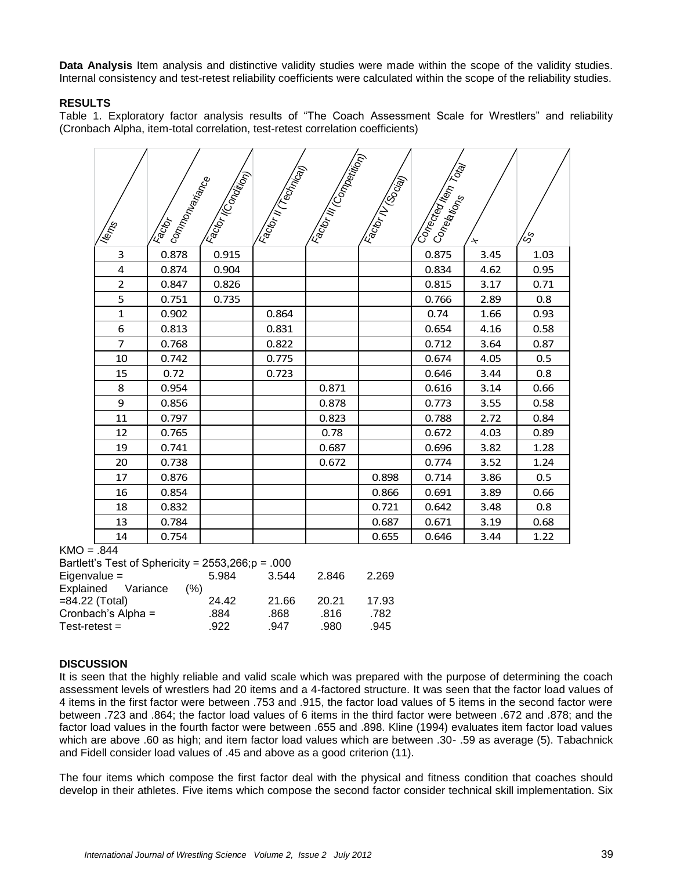**Data Analysis** Item analysis and distinctive validity studies were made within the scope of the validity studies. Internal consistency and test-retest reliability coefficients were calculated within the scope of the reliability studies.

# **RESULTS**

Table 1. Exploratory factor analysis results of "The Coach Assessment Scale for Wrestlers" and reliability (Cronbach Alpha, item-total correlation, test-retest correlation coefficients)

| Nemes          | commonwariance<br>Factor | Factor IComption | Factor in Teaming) | Fatorill Companies | Factor IV (Social) | Contected Kem Total | ᅕ    | ్రం  |
|----------------|--------------------------|------------------|--------------------|--------------------|--------------------|---------------------|------|------|
| 3              | 0.878                    | 0.915            |                    |                    |                    | 0.875               | 3.45 | 1.03 |
| 4              | 0.874                    | 0.904            |                    |                    |                    | 0.834               | 4.62 | 0.95 |
| $\overline{2}$ | 0.847                    | 0.826            |                    |                    |                    | 0.815               | 3.17 | 0.71 |
| 5              | 0.751                    | 0.735            |                    |                    |                    | 0.766               | 2.89 | 0.8  |
| $\mathbf{1}$   | 0.902                    |                  | 0.864              |                    |                    | 0.74                | 1.66 | 0.93 |
| 6              | 0.813                    |                  | 0.831              |                    |                    | 0.654               | 4.16 | 0.58 |
| $\overline{7}$ | 0.768                    |                  | 0.822              |                    |                    | 0.712               | 3.64 | 0.87 |
| 10             | 0.742                    |                  | 0.775              |                    |                    | 0.674               | 4.05 | 0.5  |
| 15             | 0.72                     |                  | 0.723              |                    |                    | 0.646               | 3.44 | 0.8  |
| 8              | 0.954                    |                  |                    | 0.871              |                    | 0.616               | 3.14 | 0.66 |
| 9              | 0.856                    |                  |                    | 0.878              |                    | 0.773               | 3.55 | 0.58 |
| 11             | 0.797                    |                  |                    | 0.823              |                    | 0.788               | 2.72 | 0.84 |
| 12             | 0.765                    |                  |                    | 0.78               |                    | 0.672               | 4.03 | 0.89 |
| 19             | 0.741                    |                  |                    | 0.687              |                    | 0.696               | 3.82 | 1.28 |
| 20             | 0.738                    |                  |                    | 0.672              |                    | 0.774               | 3.52 | 1.24 |
| 17             | 0.876                    |                  |                    |                    | 0.898              | 0.714               | 3.86 | 0.5  |
| 16             | 0.854                    |                  |                    |                    | 0.866              | 0.691               | 3.89 | 0.66 |
| 18             | 0.832                    |                  |                    |                    | 0.721              | 0.642               | 3.48 | 0.8  |
| 13             | 0.784                    |                  |                    |                    | 0.687              | 0.671               | 3.19 | 0.68 |
| 14             | 0.754                    |                  |                    |                    | 0.655              | 0.646               | 3.44 | 1.22 |

 $KMO = .844$ 

| Bartlett's Test of Sphericity = $2553,266$ ; $p = .000$ |       |       |       |       |
|---------------------------------------------------------|-------|-------|-------|-------|
| Eigenvalue $=$                                          | 5.984 | 3.544 | 2.846 | 2.269 |
| Explained Variance                                      | (%)   |       |       |       |
| $= 84.22$ (Total)                                       | 24.42 | 21.66 | 20.21 | 17.93 |
| Cronbach's Alpha =                                      | .884  | .868  | .816  | .782  |
| $Test-retest =$                                         | .922  | .947  | .980  | .945  |
|                                                         |       |       |       |       |

#### **DISCUSSION**

It is seen that the highly reliable and valid scale which was prepared with the purpose of determining the coach assessment levels of wrestlers had 20 items and a 4-factored structure. It was seen that the factor load values of 4 items in the first factor were between .753 and .915, the factor load values of 5 items in the second factor were between .723 and .864; the factor load values of 6 items in the third factor were between .672 and .878; and the factor load values in the fourth factor were between .655 and .898. Kline (1994) evaluates item factor load values which are above .60 as high; and item factor load values which are between .30- .59 as average (5). Tabachnick and Fidell consider load values of .45 and above as a good criterion (11).

The four items which compose the first factor deal with the physical and fitness condition that coaches should develop in their athletes. Five items which compose the second factor consider technical skill implementation. Six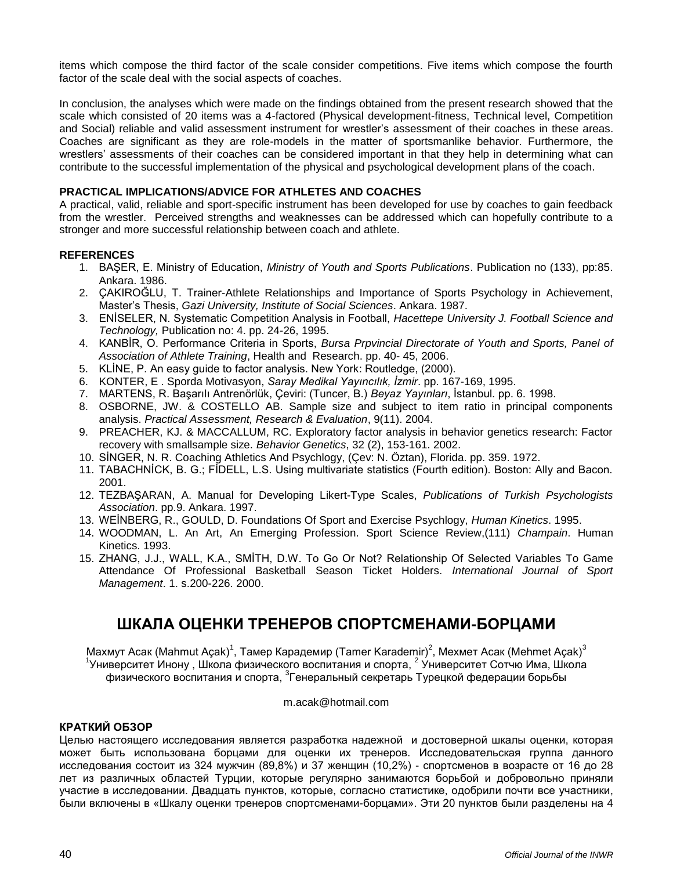items which compose the third factor of the scale consider competitions. Five items which compose the fourth factor of the scale deal with the social aspects of coaches.

In conclusion, the analyses which were made on the findings obtained from the present research showed that the scale which consisted of 20 items was a 4-factored (Physical development-fitness, Technical level, Competition and Social) reliable and valid assessment instrument for wrestler's assessment of their coaches in these areas. Coaches are significant as they are role-models in the matter of sportsmanlike behavior. Furthermore, the wrestlers' assessments of their coaches can be considered important in that they help in determining what can contribute to the successful implementation of the physical and psychological development plans of the coach.

# **PRACTICAL IMPLICATIONS/ADVICE FOR ATHLETES AND COACHES**

A practical, valid, reliable and sport-specific instrument has been developed for use by coaches to gain feedback from the wrestler. Perceived strengths and weaknesses can be addressed which can hopefully contribute to a stronger and more successful relationship between coach and athlete.

# **REFERENCES**

- 1. BAŞER, E. Ministry of Education, *Ministry of Youth and Sports Publications*. Publication no (133), pp:85. Ankara. 1986.
- 2. ÇAKIROĞLU, T. Trainer-Athlete Relationships and Importance of Sports Psychology in Achievement, Master's Thesis, *Gazi University, Institute of Social Sciences*. Ankara. 1987.
- 3. ENİSELER, N. Systematic Competition Analysis in Football, *Hacettepe University J. Football Science and Technology,* Publication no: 4. pp. 24-26, 1995.
- 4. KANBİR, O. Performance Criteria in Sports, *Bursa Prpvincial Directorate of Youth and Sports, Panel of Association of Athlete Training*, Health and Research. pp. 40- 45, 2006.
- 5. KLİNE, P. An easy guide to factor analysis. New York: Routledge, (2000).
- 6. KONTER, E . Sporda Motivasyon, *Saray Medikal Yayıncılık, İzmir*. pp. 167-169, 1995.
- 7. MARTENS, R. Başarılı Antrenörlük, Çeviri: (Tuncer, B.) *Beyaz Yayınları*, İstanbul. pp. 6. 1998.
- 8. OSBORNE, JW. & COSTELLO AB. Sample size and subject to item ratio in principal components analysis. *Practical Assessment, Research & Evaluation*, 9(11). 2004.
- 9. PREACHER, KJ. & MACCALLUM, RC. Exploratory factor analysis in behavior genetics research: Factor recovery with smallsample size. *Behavior Genetics*, 32 (2), 153-161. 2002.
- 10. SİNGER, N. R. Coaching Athletics And Psychlogy, (Çev: N. Öztan), Florida. pp. 359. 1972.
- 11. TABACHNİCK, B. G.; FİDELL, L.S. Using multivariate statistics (Fourth edition). Boston: Ally and Bacon. 2001.
- 12. TEZBAŞARAN, A. Manual for Developing Likert-Type Scales, *Publications of Turkish Psychologists Association*. pp.9. Ankara. 1997.
- 13. WEİNBERG, R., GOULD, D. Foundations Of Sport and Exercise Psychlogy, *Human Kinetics*. 1995.
- 14. WOODMAN, L. An Art, An Emerging Profession. Sport Science Review,(111) *Champain*. Human Kinetics. 1993.
- 15. ZHANG, J.J., WALL, K.A., SMİTH, D.W. To Go Or Not? Relationship Of Selected Variables To Game Attendance Of Professional Basketball Season Ticket Holders. *International Journal of Sport Management*. 1. s.200-226. 2000.

# **ШКАЛА ОЦЕНКИ ТРЕНЕРОВ СПОРТСМЕНАМИ-БОРЦАМИ**

Махмут Асак (Mahmut Açak)<sup>1</sup>, Тамер Карадемир (Tamer Karademir)<sup>2</sup>, Мехмет Асак (Mehmet Açak)<sup>3</sup> <sup>1</sup>Университет Инону , Школа физического воспитания и спорта, <sup>2</sup> Университет Сотчю Има, Школа физического воспитания и спорта, <sup>з</sup>Генеральный секретарь Турецкой федерации борьбы

#### [m.acak@hotmail.com](mailto:m.acak@hotmail.com)

# **КРАТКИЙ ОБЗОР**

Целью настоящего исследования является разработка надежной и достоверной шкалы оценки, которая может быть использована борцами для оценки их тренеров. Исследовательская группа данного исследования состоит из 324 мужчин (89,8%) и 37 женщин (10,2%) - спортсменов в возрасте от 16 до 28 лет из различных областей Турции, которые регулярно занимаются борьбой и добровольно приняли участие в исследовании. Двадцать пунктов, которые, согласно статистике, одобрили почти все участники, были включены в «Шкалу оценки тренеров спортсменами-борцами». Эти 20 пунктов были разделены на 4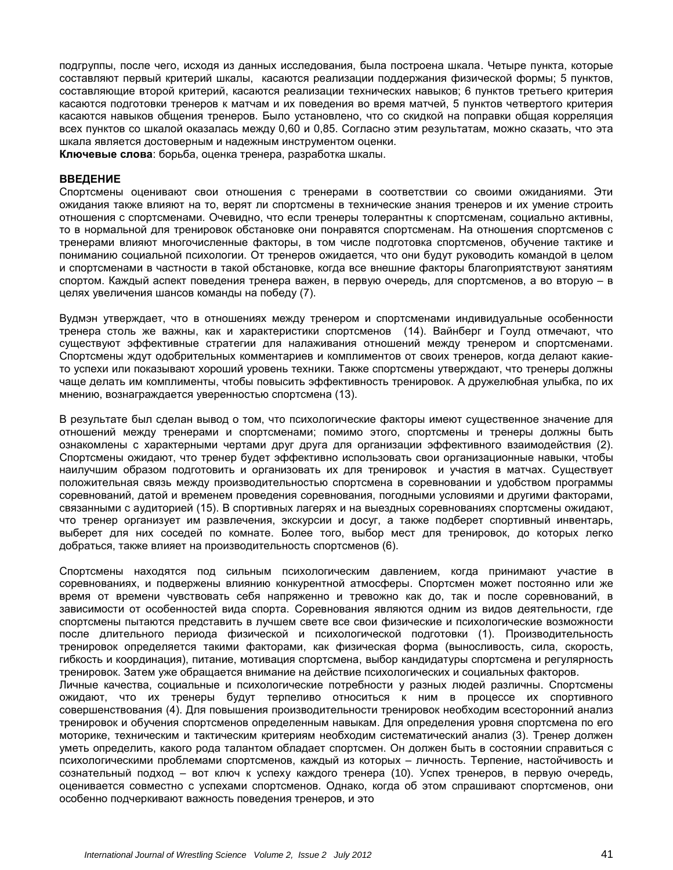подгруппы, после чего, исходя из данных исследования, была построена шкала. Четыре пункта, которые составляют первый критерий шкалы, касаются реализации поддержания физической формы; 5 пунктов, составляющие второй критерий, касаются реализации технических навыков; 6 пунктов третьего критерия касаются подготовки тренеров к матчам и их поведения во время матчей, 5 пунктов четвертого критерия касаются навыков общения тренеров. Было установлено, что со скидкой на поправки общая корреляция всех пунктов со шкалой оказалась между 0,60 и 0,85. Согласно этим результатам, можно сказать, что эта шкала является достоверным и надежным инструментом оценки.

**Ключевые слова**: борьба, оценка тренера, разработка шкалы.

#### **ВВЕДЕНИЕ**

Спортсмены оценивают свои отношения с тренерами в соответствии со своими ожиданиями. Эти ожидания также влияют на то, верят ли спортсмены в технические знания тренеров и их умение строить отношения с спортсменами. Очевидно, что если тренеры толерантны к спортсменам, социально активны, то в нормальной для тренировок обстановке они понравятся спортсменам. На отношения спортсменов с тренерами влияют многочисленные факторы, в том числе подготовка спортсменов, обучение тактике и пониманию социальной психологии. От тренеров ожидается, что они будут руководить командой в целом и спортсменами в частности в такой обстановке, когда все внешние факторы благоприятствуют занятиям спортом. Каждый аспект поведения тренера важен, в первую очередь, для спортсменов, а во вторую – в целях увеличения шансов команды на победу (7).

Вудмэн утверждает, что в отношениях между тренером и спортсменами индивидуальные особенности тренера столь же важны, как и характеристики спортсменов (14). Вайнберг и Гоулд отмечают, что существуют эффективные стратегии для налаживания отношений между тренером и спортсменами. Спортсмены ждут одобрительных комментариев и комплиментов от своих тренеров, когда делают какието успехи или показывают хороший уровень техники. Также спортсмены утверждают, что тренеры должны чаще делать им комплименты, чтобы повысить эффективность тренировок. А дружелюбная улыбка, по их мнению, вознаграждается уверенностью спортсмена (13).

В результате был сделан вывод о том, что психологические факторы имеют существенное значение для отношений между тренерами и спортсменами; помимо этого, спортсмены и тренеры должны быть ознакомлены с характерными чертами друг друга для организации эффективного взаимодействия (2). Спортсмены ожидают, что тренер будет эффективно использовать свои организационные навыки, чтобы наилучшим образом подготовить и организовать их для тренировок и участия в матчах. Существует положительная связь между производительностью спортсмена в соревновании и удобством программы соревнований, датой и временем проведения соревнования, погодными условиями и другими факторами, связанными с аудиторией (15). В спортивных лагерях и на выездных соревнованиях спортсмены ожидают, что тренер организует им развлечения, экскурсии и досуг, а также подберет спортивный инвентарь, выберет для них соседей по комнате. Более того, выбор мест для тренировок, до которых легко добраться, также влияет на производительность спортсменов (6).

Спортсмены находятся под сильным психологическим давлением, когда принимают участие в соревнованиях, и подвержены влиянию конкурентной атмосферы. Спортсмен может постоянно или же время от времени чувствовать себя напряженно и тревожно как до, так и после соревнований, в зависимости от особенностей вида спорта. Соревнования являются одним из видов деятельности, где спортсмены пытаются представить в лучшем свете все свои физические и психологические возможности после длительного периода физической и психологической подготовки (1). Производительность тренировок определяется такими факторами, как физическая форма (выносливость, сила, скорость, гибкость и координация), питание, мотивация спортсмена, выбор кандидатуры спортсмена и регулярность тренировок. Затем уже обращается внимание на действие психологических и социальных факторов. Личные качества, социальные и психологические потребности у разных людей различны. Спортсмены ожидают, что их тренеры будут терпеливо относиться к ним в процессе их спортивного совершенствования (4). Для повышения производительности тренировок необходим всесторонний анализ тренировок и обучения спортсменов определенным навыкам. Для определения уровня спортсмена по его моторике, техническим и тактическим критериям необходим систематический анализ (3). Тренер должен уметь определить, какого рода талантом обладает спортсмен. Он должен быть в состоянии справиться с психологическими проблемами спортсменов, каждый из которых – личность. Терпение, настойчивость и сознательный подход – вот ключ к успеху каждого тренера (10). Успех тренеров, в первую очередь,

оценивается совместно с успехами спортсменов. Однако, когда об этом спрашивают спортсменов, они

особенно подчеркивают важность поведения тренеров, и это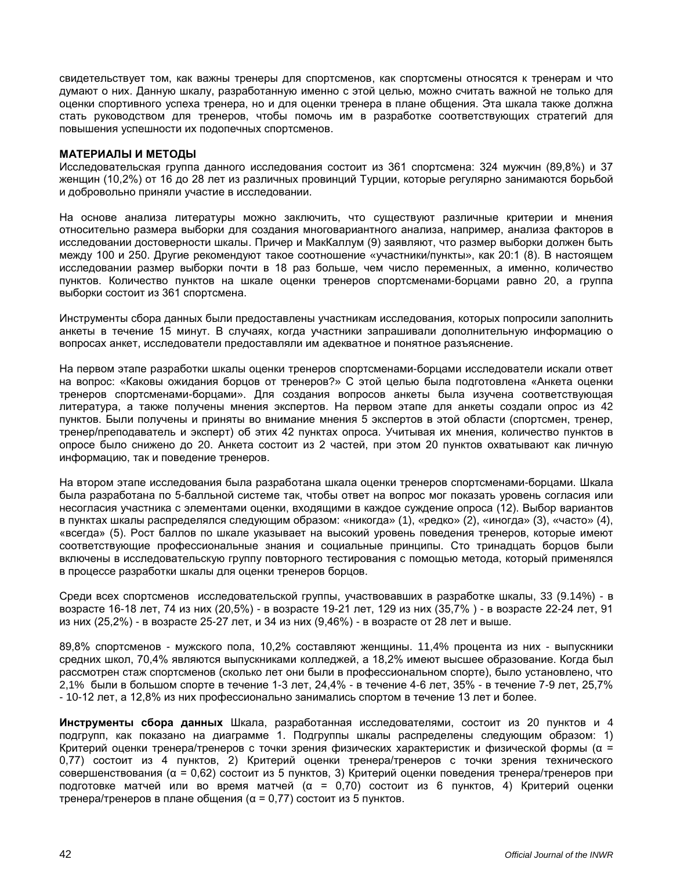свидетельствует том, как важны тренеры для спортсменов, как спортсмены относятся к тренерам и что думают о них. Данную шкалу, разработанную именно с этой целью, можно считать важной не только для оценки спортивного успеха тренера, но и для оценки тренера в плане общения. Эта шкала также должна стать руководством для тренеров, чтобы помочь им в разработке соответствующих стратегий для повышения успешности их подопечных спортсменов.

#### **МАТЕРИАЛЫ И МЕТОДЫ**

Исследовательская группа данного исследования состоит из 361 спортсмена: 324 мужчин (89,8%) и 37 женщин (10,2%) от 16 до 28 лет из различных провинций Турции, которые регулярно занимаются борьбой и добровольно приняли участие в исследовании.

На основе анализа литературы можно заключить, что существуют различные критерии и мнения относительно размера выборки для создания многовариантного анализа, например, анализа факторов в исследовании достоверности шкалы. Причер и МакКаллум (9) заявляют, что размер выборки должен быть между 100 и 250. Другие рекомендуют такое соотношение «участники/пункты», как 20:1 (8). В настоящем исследовании размер выборки почти в 18 раз больше, чем число переменных, а именно, количество пунктов. Количество пунктов на шкале оценки тренеров спортсменами-борцами равно 20, а группа выборки состоит из 361 спортсмена.

Инструменты сбора данных были предоставлены участникам исследования, которых попросили заполнить анкеты в течение 15 минут. В случаях, когда участники запрашивали дополнительную информацию о вопросах анкет, исследователи предоставляли им адекватное и понятное разъяснение.

На первом этапе разработки шкалы оценки тренеров спортсменами-борцами исследователи искали ответ на вопрос: «Каковы ожидания борцов от тренеров?» С этой целью была подготовлена «Анкета оценки тренеров спортсменами-борцами». Для создания вопросов анкеты была изучена соответствующая литература, а также получены мнения экспертов. На первом этапе для анкеты создали опрос из 42 пунктов. Были получены и приняты во внимание мнения 5 экспертов в этой области (спортсмен, тренер, тренер/преподаватель и эксперт) об этих 42 пунктах опроса. Учитывая их мнения, количество пунктов в опросе было снижено до 20. Анкета состоит из 2 частей, при этом 20 пунктов охватывают как личную информацию, так и поведение тренеров.

На втором этапе исследования была разработана шкала оценки тренеров спортсменами-борцами. Шкала была разработана по 5-балльной системе так, чтобы ответ на вопрос мог показать уровень согласия или несогласия участника с элементами оценки, входящими в каждое суждение опроса (12). Выбор вариантов в пунктах шкалы распределялся следующим образом: «никогда» (1), «редко» (2), «иногда» (3), «часто» (4), «всегда» (5). Рост баллов по шкале указывает на высокий уровень поведения тренеров, которые имеют соответствующие профессиональные знания и социальные принципы. Сто тринадцать борцов были включены в исследовательскую группу повторного тестирования с помощью метода, который применялся в процессе разработки шкалы для оценки тренеров борцов.

Среди всех спортсменов исследовательской группы, участвовавших в разработке шкалы, 33 (9.14%) - в возрасте 16-18 лет, 74 из них (20,5%) - в возрасте 19-21 лет, 129 из них (35,7% ) - в возрасте 22-24 лет, 91 из них (25,2%) - в возрасте 25-27 лет, и 34 из них (9,46%) - в возрасте от 28 лет и выше.

89,8% спортсменов - мужского пола, 10,2% составляют женщины. 11,4% процента из них - выпускники средних школ, 70,4% являются выпускниками колледжей, а 18,2% имеют высшее образование. Когда был рассмотрен стаж спортсменов (сколько лет они были в профессиональном спорте), было установлено, что 2,1% были в большом спорте в течение 1-3 лет, 24,4% - в течение 4-6 лет, 35% - в течение 7-9 лет, 25,7% - 10-12 лет, а 12,8% из них профессионально занимались спортом в течение 13 лет и более.

**Инструменты сбора данных** Шкала, разработанная исследователями, состоит из 20 пунктов и 4 подгрупп, как показано на диаграмме 1. Подгруппы шкалы распределены следующим образом: 1) Критерий оценки тренера/тренеров с точки зрения физических характеристик и физической формы (α = 0,77) состоит из 4 пунктов, 2) Критерий оценки тренера/тренеров с точки зрения технического совершенствования (α = 0,62) состоит из 5 пунктов, 3) Критерий оценки поведения тренера/тренеров при подготовке матчей или во время матчей (α = 0,70) состоит из 6 пунктов, 4) Критерий оценки тренера/тренеров в плане общения (α = 0,77) состоит из 5 пунктов.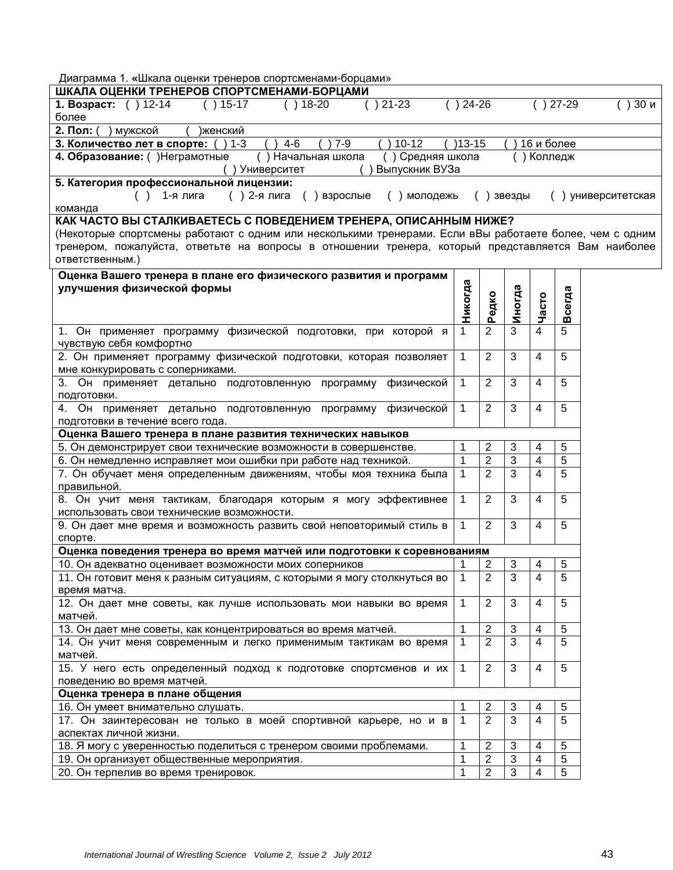| Диаграмма 1. «Шкала оценки тренеров спортсменами-борцами»                                               |              |                |            |                |             |                   |
|---------------------------------------------------------------------------------------------------------|--------------|----------------|------------|----------------|-------------|-------------------|
| ШКАЛА ОЦЕНКИ ТРЕНЕРОВ СПОРТСМЕНАМИ-БОРЦАМИ                                                              |              |                |            |                |             |                   |
| 1. Возраст: () 12-14<br>$( ) 15-17$<br>$( ) 21 - 23$<br>$( ) 18-20$<br>$($ )                            | 24-26        |                |            |                | $( ) 27-29$ | <b>) 30 и</b>     |
| более                                                                                                   |              |                |            |                |             |                   |
| 2. Пол: (<br>мужской<br>)женский                                                                        |              |                |            |                |             |                   |
| $4 - 6$<br>$7 - 9$<br>$10 - 12$<br>3. Количество лет в спорте:<br>$) 1 - 3$                             | $)13 - 15$   |                |            | 16 и более     |             |                   |
| 4. Образование: () Неграмотные<br>() Начальная школа<br>() Средняя школа                                |              |                |            | () Колледж     |             |                   |
| Выпускник ВУЗа<br>) Университет                                                                         |              |                |            |                |             |                   |
| 5. Категория профессиональной лицензии:                                                                 |              |                |            |                |             |                   |
| () 2-я лига<br>1-я лига<br>( ) взрослые<br>молодежь<br>$($ )<br>(                                       |              |                | звезды     |                |             | ) университетская |
| команда                                                                                                 |              |                |            |                |             |                   |
| КАК ЧАСТО ВЫ СТАЛКИВАЕТЕСЬ С ПОВЕДЕНИЕМ ТРЕНЕРА, ОПИСАННЫМ НИЖЕ?                                        |              |                |            |                |             |                   |
|                                                                                                         |              |                |            |                |             |                   |
| (Некоторые спортсмены работают с одним или несколькими тренерами. Если вВы работаете более, чем с одним |              |                |            |                |             |                   |
| тренером, пожалуйста, ответьте на вопросы в отношении тренера, который представляется Вам наиболее      |              |                |            |                |             |                   |
| ответственным.)                                                                                         |              |                |            |                |             |                   |
| Оценка Вашего тренера в плане его физического развития и программ                                       |              |                |            |                |             |                   |
| улучшения физической формы                                                                              |              |                |            |                |             |                   |
|                                                                                                         |              |                |            |                |             |                   |
|                                                                                                         | Никогда      | Редко          | Иногда     | Часто          | Всегда      |                   |
| 1. Он применяет программу физической подготовки, при которой я                                          |              | $\overline{2}$ | 3          | $\overline{4}$ | 5           |                   |
| чувствую себя комфортно                                                                                 |              |                |            |                |             |                   |
| 2. Он применяет программу физической подготовки, которая позволяет                                      | 1            | 2              | 3          | 4              | 5           |                   |
|                                                                                                         |              |                |            |                |             |                   |
| мне конкурировать с соперниками.                                                                        |              |                |            |                |             |                   |
| 3. Он применяет детально подготовленную программу физической                                            | 1            | 2              | 3          | 4              | 5           |                   |
| подготовки.                                                                                             |              |                |            |                |             |                   |
| 4. Он применяет детально подготовленную программу физической                                            | $\mathbf{1}$ | $\overline{2}$ | 3          | 4              | 5           |                   |
| подготовки в течение всего года.                                                                        |              |                |            |                |             |                   |
| Оценка Вашего тренера в плане развития технических навыков                                              |              |                |            |                |             |                   |
| 5. Он демонстрирует свои технические возможности в совершенстве.                                        |              | 2              | 3          | 4              | 5           |                   |
| 6. Он немедленно исправляет мои ошибки при работе над техникой.                                         | 1            | $\overline{2}$ | 3          | 4              | 5           |                   |
| 7. Он обучает меня определенным движениям, чтобы моя техника была                                       | 1            | $\overline{2}$ | 3          | 4              | 5           |                   |
| правильной.                                                                                             |              |                |            |                |             |                   |
| 8. Он учит меня тактикам, благодаря которым я могу эффективнее                                          | 1            | 2              | 3          | 4              | 5           |                   |
| использовать свои технические возможности.                                                              |              |                |            |                |             |                   |
| 9. Он дает мне время и возможность развить свой неповторимый стиль в                                    | $\mathbf 1$  | 2              | 3          | 4              | 5           |                   |
| спорте.                                                                                                 |              |                |            |                |             |                   |
| Оценка поведения тренера во время матчей или подготовки к соревнованиям                                 |              |                |            |                |             |                   |
| 10. Он адекватно оценивает возможности моих соперников                                                  | 1            | $\overline{2}$ | 3          |                | 5           |                   |
|                                                                                                         |              | $\overline{2}$ | 3          |                |             |                   |
| 11. Он готовит меня к разным ситуациям, с которыми я могу столкнуться во                                | 1            |                |            | 4              | 5           |                   |
| время матча.                                                                                            |              |                |            |                |             |                   |
| 12. Он дает мне советы, как лучше использовать мои навыки во время                                      | $\mathbf{1}$ | 2              | 3          | 4              | 5           |                   |
| матчей.                                                                                                 |              |                |            |                |             |                   |
| 13. Он дает мне советы, как концентрироваться во время матчей.                                          | 1            | $\overline{c}$ | 3          | 4              | 5           |                   |
| 14. Он учит меня современным и легко применимым тактикам во время                                       | $\mathbf{1}$ | $\overline{2}$ | 3          | 4              | 5           |                   |
| матчей.                                                                                                 |              |                |            |                |             |                   |
| 15. У него есть определенный подход к подготовке спортсменов и их                                       | 1            | 2              | 3          | 4              | 5           |                   |
| поведению во время матчей.                                                                              |              |                |            |                |             |                   |
| Оценка тренера в плане общения                                                                          |              |                |            |                |             |                   |
| 16. Он умеет внимательно слушать.                                                                       |              | 2              | 3          | 4              | 5           |                   |
| 17. Он заинтересован не только в моей спортивной карьере, но и в                                        | $\mathbf 1$  | $\overline{2}$ | 3          | 4              | 5           |                   |
| аспектах личной жизни.                                                                                  |              |                |            |                |             |                   |
| 18. Я могу с уверенностью поделиться с тренером своими проблемами.                                      | 1            | $\overline{2}$ | 3          | 4              | 5           |                   |
|                                                                                                         |              |                | $\sqrt{3}$ |                |             |                   |
| 19. Он организует общественные мероприятия.                                                             | 1            | 2              |            | 4              | 5           |                   |
| 20. Он терпелив во время тренировок.                                                                    | 1            | $\overline{2}$ | 3          | 4              | 5           |                   |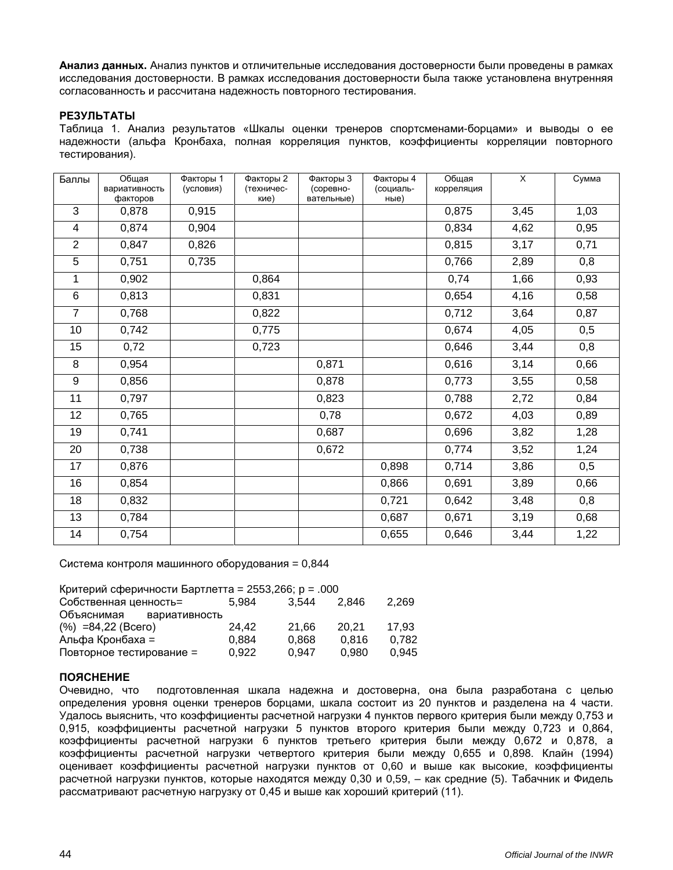**Анализ данных.** Анализ пунктов и отличительные исследования достоверности были проведены в рамках исследования достоверности. В рамках исследования достоверности была также установлена внутренняя согласованность и рассчитана надежность повторного тестирования.

# **РЕЗУЛЬТАТЫ**

Таблица 1. Анализ результатов «Шкалы оценки тренеров спортсменами-борцами» и выводы о ее надежности (альфа Кронбаха, полная корреляция пунктов, коэффициенты корреляции повторного тестирования).

| Баллы          | Обшая<br>вариативность<br>факторов | Факторы 1<br>(условия) | Факторы 2<br>(техничес-<br>кие) | Факторы 3<br>(соревно-<br>вательные) | Факторы 4<br>(социаль-<br>ные) | Общая<br>корреляция | $\overline{X}$ | Сумма |
|----------------|------------------------------------|------------------------|---------------------------------|--------------------------------------|--------------------------------|---------------------|----------------|-------|
| $\overline{3}$ | 0,878                              | 0,915                  |                                 |                                      |                                | 0,875               | 3,45           | 1,03  |
| 4              | 0,874                              | 0,904                  |                                 |                                      |                                | 0,834               | 4,62           | 0,95  |
| $\overline{2}$ | 0,847                              | 0,826                  |                                 |                                      |                                | 0,815               | 3,17           | 0,71  |
| 5              | 0,751                              | 0,735                  |                                 |                                      |                                | 0,766               | 2,89           | 0,8   |
| 1              | 0,902                              |                        | 0,864                           |                                      |                                | 0,74                | 1,66           | 0,93  |
| $\,6$          | 0,813                              |                        | 0,831                           |                                      |                                | 0,654               | 4,16           | 0,58  |
| $\overline{7}$ | 0,768                              |                        | 0,822                           |                                      |                                | 0,712               | 3,64           | 0,87  |
| 10             | 0,742                              |                        | 0,775                           |                                      |                                | 0,674               | 4,05           | 0,5   |
| 15             | 0,72                               |                        | 0,723                           |                                      |                                | 0,646               | 3,44           | 0,8   |
| 8              | 0,954                              |                        |                                 | 0,871                                |                                | 0,616               | 3,14           | 0,66  |
| 9              | 0,856                              |                        |                                 | 0,878                                |                                | 0,773               | 3,55           | 0,58  |
| 11             | 0,797                              |                        |                                 | 0,823                                |                                | 0,788               | 2,72           | 0,84  |
| 12             | 0,765                              |                        |                                 | 0,78                                 |                                | 0,672               | 4,03           | 0,89  |
| 19             | 0,741                              |                        |                                 | 0,687                                |                                | 0,696               | 3,82           | 1,28  |
| 20             | 0,738                              |                        |                                 | 0,672                                |                                | 0,774               | 3,52           | 1,24  |
| 17             | 0,876                              |                        |                                 |                                      | 0,898                          | 0,714               | 3,86           | 0,5   |
| 16             | 0,854                              |                        |                                 |                                      | 0,866                          | 0,691               | 3,89           | 0,66  |
| 18             | 0,832                              |                        |                                 |                                      | 0,721                          | 0,642               | 3,48           | 0,8   |
| 13             | 0,784                              |                        |                                 |                                      | 0,687                          | 0,671               | 3,19           | 0,68  |
| 14             | 0,754                              |                        |                                 |                                      | 0,655                          | 0,646               | 3,44           | 1,22  |

Система контроля машинного оборудования = 0,844

| Критерий сферичности Бартлетта = 2553,266; р = .000 |       |       |       |       |  |  |  |  |  |
|-----------------------------------------------------|-------|-------|-------|-------|--|--|--|--|--|
| Собственная ценность=                               | 5.984 | 3.544 | 2.846 | 2,269 |  |  |  |  |  |
| Объяснимая<br>вариативность                         |       |       |       |       |  |  |  |  |  |
| $(\%) = 84,22$ (Bcero)                              | 24.42 | 21.66 | 20.21 | 17.93 |  |  |  |  |  |
| Альфа Кронбаха =                                    | 0.884 | 0.868 | 0.816 | 0.782 |  |  |  |  |  |
| Повторное тестирование =                            | 0.922 | 0.947 | 0.980 | 0.945 |  |  |  |  |  |

# **ПОЯСНЕНИЕ**

Очевидно, что подготовленная шкала надежна и достоверна, она была разработана с целью определения уровня оценки тренеров борцами, шкала состоит из 20 пунктов и разделена на 4 части. Удалось выяснить, что коэффициенты расчетной нагрузки 4 пунктов первого критерия были между 0,753 и 0,915, коэффициенты расчетной нагрузки 5 пунктов второго критерия были между 0,723 и 0,864, коэффициенты расчетной нагрузки 6 пунктов третьего критерия были между 0,672 и 0,878, а коэффициенты расчетной нагрузки четвертого критерия были между 0,655 и 0,898. Клайн (1994) оценивает коэффициенты расчетной нагрузки пунктов от 0,60 и выше как высокие, коэффициенты расчетной нагрузки пунктов, которые находятся между 0,30 и 0,59, – как средние (5). Табачник и Фидель рассматривают расчетную нагрузку от 0,45 и выше как хороший критерий (11).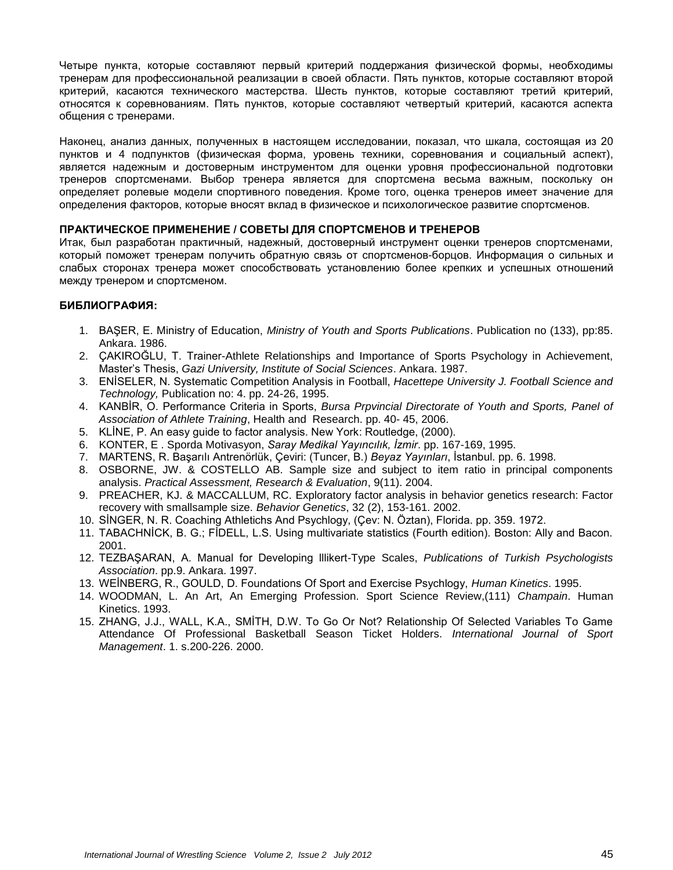Четыре пункта, которые составляют первый критерий поддержания физической формы, необходимы тренерам для профессиональной реализации в своей области. Пять пунктов, которые составляют второй критерий, касаются технического мастерства. Шесть пунктов, которые составляют третий критерий, относятся к соревнованиям. Пять пунктов, которые составляют четвертый критерий, касаются аспекта общения с тренерами.

Наконец, анализ данных, полученных в настоящем исследовании, показал, что шкала, состоящая из 20 пунктов и 4 подпунктов (физическая форма, уровень техники, соревнования и социальный аспект), является надежным и достоверным инструментом для оценки уровня профессиональной подготовки тренеров спортсменами. Выбор тренера является для спортсмена весьма важным, поскольку он определяет ролевые модели спортивного поведения. Кроме того, оценка тренеров имеет значение для определения факторов, которые вносят вклад в физическое и психологическое развитие спортсменов.

# **ПРАКТИЧЕСКОЕ ПРИМЕНЕНИЕ / СОВЕТЫ ДЛЯ СПОРТСМЕНОВ И ТРЕНЕРОВ**

Итак, был разработан практичный, надежный, достоверный инструмент оценки тренеров спортсменами, который поможет тренерам получить обратную связь от спортсменов-борцов. Информация о сильных и слабых сторонах тренера может способствовать установлению более крепких и успешных отношений между тренером и спортсменом.

# **БИБЛИОГРАФИЯ:**

- 1. BAŞER, E. Ministry of Education, *Ministry of Youth and Sports Publications*. Publication no (133), pp:85. Ankara. 1986.
- 2. ÇAKIROĞLU, T. Trainer-Athlete Relationships and Importance of Sports Psychology in Achievement, Master's Thesis, *Gazi University, Institute of Social Sciences*. Ankara. 1987.
- 3. ENİSELER, N. Systematic Competition Analysis in Football, *Hacettepe University J. Football Science and Technology,* Publication no: 4. pp. 24-26, 1995.
- 4. KANBİR, O. Performance Criteria in Sports, *Bursa Prpvincial Directorate of Youth and Sports, Panel of Association of Athlete Training*, Health and Research. pp. 40- 45, 2006.
- 5. KLİNE, P. An easy guide to factor analysis. New York: Routledge, (2000).
- 6. KONTER, E . Sporda Motivasyon, *Saray Medikal Yayıncılık, İzmir*. pp. 167-169, 1995.
- 7. MARTENS, R. Başarılı Antrenörlük, Çeviri: (Tuncer, B.) *Beyaz Yayınları*, İstanbul. pp. 6. 1998.
- 8. OSBORNE, JW. & COSTELLO AB. Sample size and subject to item ratio in principal components analysis. *Practical Assessment, Research & Evaluation*, 9(11). 2004.
- 9. PREACHER, KJ. & MACCALLUM, RC. Exploratory factor analysis in behavior genetics research: Factor recovery with smallsample size. *Behavior Genetics*, 32 (2), 153-161. 2002.
- 10. SİNGER, N. R. Coaching Athletichs And Psychlogy, (Çev: N. Öztan), Florida. pp. 359. 1972.
- 11. TABACHNİCK, B. G.; FİDELL, L.S. Using multivariate statistics (Fourth edition). Boston: Ally and Bacon. 2001.
- 12. TEZBAŞARAN, A. Manual for Developing lllikert-Type Scales, *Publications of Turkish Psychologists Association*. pp.9. Ankara. 1997.
- 13. WEİNBERG, R., GOULD, D. Foundations Of Sport and Exercise Psychlogy, *Human Kinetics*. 1995.
- 14. WOODMAN, L. An Art, An Emerging Profession. Sport Science Review,(111) *Champain*. Human Kinetics. 1993.
- 15. ZHANG, J.J., WALL, K.A., SMİTH, D.W. To Go Or Not? Relationship Of Selected Variables To Game Attendance Of Professional Basketball Season Ticket Holders. *International Journal of Sport Management*. 1. s.200-226. 2000.